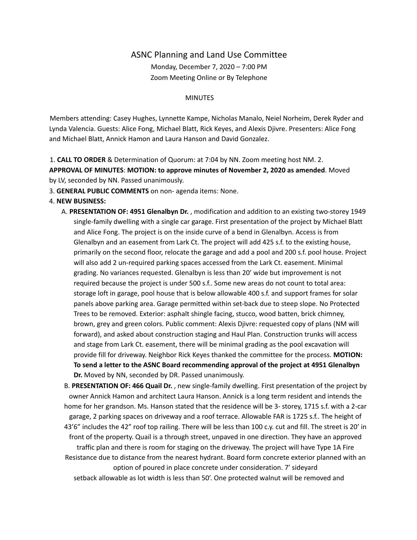## ASNC Planning and Land Use Committee

Monday, December 7, 2020 – 7:00 PM Zoom Meeting Online or By Telephone

## MINUTES

Members attending: Casey Hughes, Lynnette Kampe, Nicholas Manalo, Neiel Norheim, Derek Ryder and Lynda Valencia. Guests: Alice Fong, Michael Blatt, Rick Keyes, and Alexis Djivre. Presenters: Alice Fong and Michael Blatt, Annick Hamon and Laura Hanson and David Gonzalez.

1. **CALL TO ORDER** & Determination of Quorum: at 7:04 by NN. Zoom meeting host NM. 2.

**APPROVAL OF MINUTES**: **MOTION: to approve minutes of November 2, 2020 as amended**. Moved by LV, seconded by NN. Passed unanimously.

3. **GENERAL PUBLIC COMMENTS** on non- agenda items: None.

## 4. **NEW BUSINESS:**

A. **PRESENTATION OF: 4951 Glenalbyn Dr.** , modification and addition to an existing two-storey 1949 single-family dwelling with a single car garage. First presentation of the project by Michael Blatt and Alice Fong. The project is on the inside curve of a bend in Glenalbyn. Access is from Glenalbyn and an easement from Lark Ct. The project will add 425 s.f. to the existing house, primarily on the second floor, relocate the garage and add a pool and 200 s.f. pool house. Project will also add 2 un-required parking spaces accessed from the Lark Ct. easement. Minimal grading. No variances requested. Glenalbyn is less than 20' wide but improvement is not required because the project is under 500 s.f.. Some new areas do not count to total area: storage loft in garage, pool house that is below allowable 400 s.f. and support frames for solar panels above parking area. Garage permitted within set-back due to steep slope. No Protected Trees to be removed. Exterior: asphalt shingle facing, stucco, wood batten, brick chimney, brown, grey and green colors. Public comment: Alexis Djivre: requested copy of plans (NM will forward), and asked about construction staging and Haul Plan. Construction trunks will access and stage from Lark Ct. easement, there will be minimal grading as the pool excavation will provide fill for driveway. Neighbor Rick Keyes thanked the committee for the process. **MOTION: To send a letter to the ASNC Board recommending approval of the project at 4951 Glenalbyn Dr.** Moved by NN, seconded by DR. Passed unanimously.

B. **PRESENTATION OF: 466 Quail Dr.** , new single-family dwelling. First presentation of the project by owner Annick Hamon and architect Laura Hanson. Annick is a long term resident and intends the home for her grandson. Ms. Hanson stated that the residence will be 3- storey, 1715 s.f. with a 2-car garage, 2 parking spaces on driveway and a roof terrace. Allowable FAR is 1725 s.f.. The height of 43'6" includes the 42" roof top railing. There will be less than 100 c.y. cut and fill. The street is 20' in front of the property. Quail is a through street, unpaved in one direction. They have an approved traffic plan and there is room for staging on the driveway. The project will have Type 1A Fire Resistance due to distance from the nearest hydrant. Board form concrete exterior planned with an option of poured in place concrete under consideration. 7' sideyard setback allowable as lot width is less than 50'. One protected walnut will be removed and